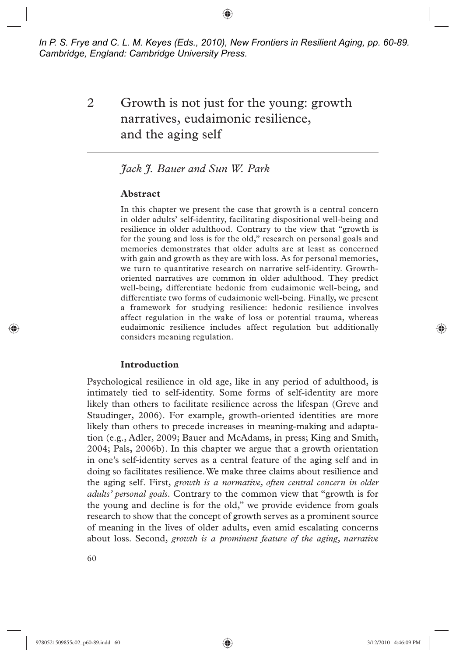*In P. S. Frye and C. L. M. Keyes (Eds., 2010), New Frontiers in Resilient Aging, pp. 60-89. Cambridge, England: Cambridge University Press.*

♠

# 2 Growth is not just for the young: growth narratives, eudaimonic resilience, and the aging self

*Jack J. Bauer and Sun W. Park* 

#### **Abstract**

In this chapter we present the case that growth is a central concern in older adults' self-identity, facilitating dispositional well-being and resilience in older adulthood. Contrary to the view that "growth is for the young and loss is for the old," research on personal goals and memories demonstrates that older adults are at least as concerned with gain and growth as they are with loss. As for personal memories, we turn to quantitative research on narrative self-identity. Growthoriented narratives are common in older adulthood. They predict well-being, differentiate hedonic from eudaimonic well-being, and differentiate two forms of eudaimonic well-being. Finally, we present a framework for studying resilience: hedonic resilience involves affect regulation in the wake of loss or potential trauma, whereas eudaimonic resilience includes affect regulation but additionally considers meaning regulation.

# **Introduction**

Psychological resilience in old age, like in any period of adulthood, is intimately tied to self-identity. Some forms of self-identity are more likely than others to facilitate resilience across the lifespan (Greve and Staudinger, 2006). For example, growth-oriented identities are more likely than others to precede increases in meaning-making and adaptation (e.g., Adler, 2009; Bauer and McAdams, in press; King and Smith, 2004; Pals, 2006b). In this chapter we argue that a growth orientation in one's self-identity serves as a central feature of the aging self and in doing so facilitates resilience. We make three claims about resilience and the aging self. First, *growth is a normative, often central concern in older adults' personal goals*. Contrary to the common view that "growth is for the young and decline is for the old," we provide evidence from goals research to show that the concept of growth serves as a prominent source of meaning in the lives of older adults, even amid escalating concerns about loss. Second, *growth is a prominent feature of the aging, narrative* 

60

◈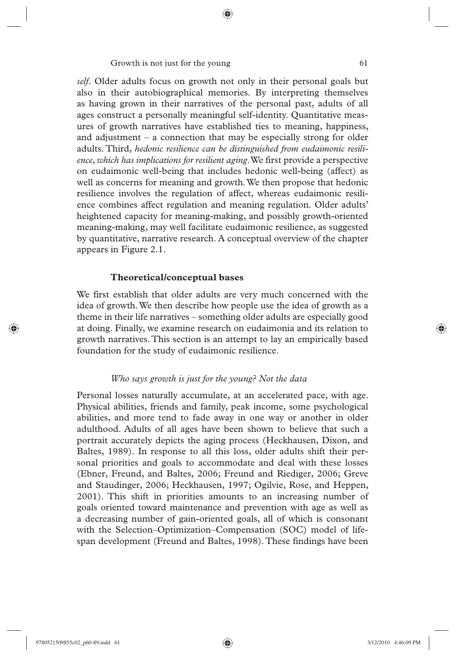*self*. Older adults focus on growth not only in their personal goals but also in their autobiographical memories. By interpreting themselves as having grown in their narratives of the personal past, adults of all ages construct a personally meaningful self-identity. Quantitative measures of growth narratives have established ties to meaning, happiness, and adjustment – a connection that may be especially strong for older adults. Third, *hedonic resilience can be distinguished from eudaimonic resilience, which has implications for resilient aging*. We first provide a perspective on eudaimonic well-being that includes hedonic well-being (affect) as well as concerns for meaning and growth. We then propose that hedonic resilience involves the regulation of affect, whereas eudaimonic resilience combines affect regulation and meaning regulation. Older adults' heightened capacity for meaning-making, and possibly growth-oriented meaning-making, may well facilitate eudaimonic resilience, as suggested by quantitative, narrative research. A conceptual overview of the chapter appears in Figure 2.1 .

♠

#### **Theoretical/conceptual bases**

We first establish that older adults are very much concerned with the idea of growth. We then describe how people use the idea of growth as a theme in their life narratives – something older adults are especially good at doing. Finally, we examine research on eudaimonia and its relation to growth narratives. This section is an attempt to lay an empirically based foundation for the study of eudaimonic resilience.

#### *Who says growth is just for the young? Not the data*

Personal losses naturally accumulate, at an accelerated pace, with age. Physical abilities, friends and family, peak income, some psychological abilities, and more tend to fade away in one way or another in older adulthood. Adults of all ages have been shown to believe that such a portrait accurately depicts the aging process (Heckhausen, Dixon, and Baltes, 1989). In response to all this loss, older adults shift their personal priorities and goals to accommodate and deal with these losses (Ebner, Freund, and Baltes, 2006; Freund and Riediger, 2006; Greve and Staudinger, 2006; Heckhausen, 1997; Ogilvie, Rose, and Heppen, 2001). This shift in priorities amounts to an increasing number of goals oriented toward maintenance and prevention with age as well as a decreasing number of gain-oriented goals, all of which is consonant with the Selection–Optimization–Compensation (SOC) model of lifespan development (Freund and Baltes, 1998). These findings have been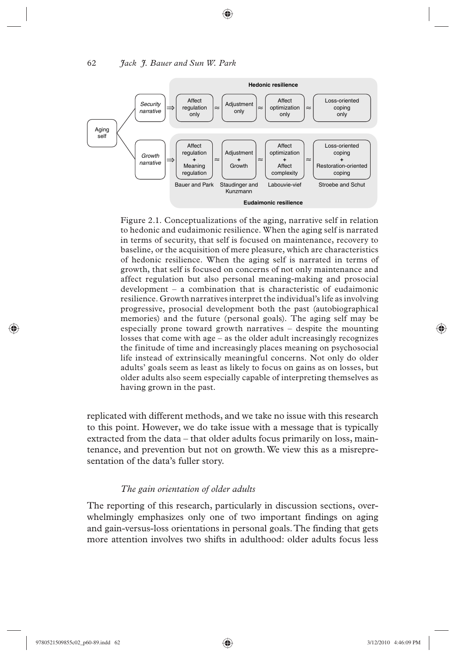

♠

Figure 2.1. Conceptualizations of the aging, narrative self in relation to hedonic and eudaimonic resilience. When the aging self is narrated in terms of security, that self is focused on maintenance, recovery to baseline, or the acquisition of mere pleasure, which are characteristics of hedonic resilience. When the aging self is narrated in terms of growth, that self is focused on concerns of not only maintenance and affect regulation but also personal meaning-making and prosocial development – a combination that is characteristic of eudaimonic resilience. Growth narratives interpret the individual's life as involving progressive, prosocial development both the past (autobiographical memories) and the future (personal goals). The aging self may be especially prone toward growth narratives – despite the mounting losses that come with age – as the older adult increasingly recognizes the finitude of time and increasingly places meaning on psychosocial life instead of extrinsically meaningful concerns. Not only do older adults' goals seem as least as likely to focus on gains as on losses, but older adults also seem especially capable of interpreting themselves as having grown in the past.

replicated with different methods, and we take no issue with this research to this point. However, we do take issue with a message that is typically extracted from the data – that older adults focus primarily on loss, maintenance, and prevention but not on growth. We view this as a misrepresentation of the data's fuller story.

# *The gain orientation of older adults*

The reporting of this research, particularly in discussion sections, overwhelmingly emphasizes only one of two important findings on aging and gain-versus-loss orientations in personal goals. The finding that gets more attention involves two shifts in adulthood: older adults focus less

9780521509855c02\_p60-89.indd 62 780521509855c02\_p60-89.indd 62 7805215099M /12/2010 4:46:09 PM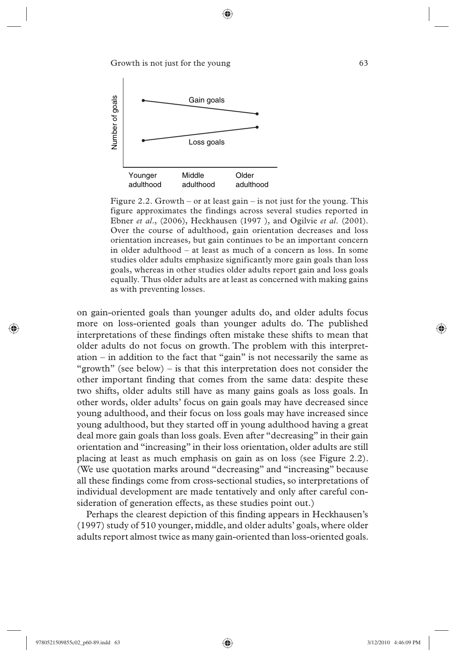

Figure 2.2. Growth – or at least gain – is not just for the young. This figure approximates the findings across several studies reported in Ebner *et al.*, (2006), Heckhausen (1997), and Ogilvie *et al.* (2001). Over the course of adulthood, gain orientation decreases and loss orientation increases, but gain continues to be an important concern in older adulthood – at least as much of a concern as loss. In some studies older adults emphasize significantly more gain goals than loss goals, whereas in other studies older adults report gain and loss goals equally. Thus older adults are at least as concerned with making gains as with preventing losses.

♠

on gain-oriented goals than younger adults do, and older adults focus more on loss-oriented goals than younger adults do. The published interpretations of these findings often mistake these shifts to mean that older adults do not focus on growth. The problem with this interpretation – in addition to the fact that "gain" is not necessarily the same as "growth" (see below) – is that this interpretation does not consider the other important finding that comes from the same data: despite these two shifts, older adults still have as many gains goals as loss goals. In other words, older adults' focus on gain goals may have decreased since young adulthood, and their focus on loss goals may have increased since young adulthood, but they started off in young adulthood having a great deal more gain goals than loss goals. Even after "decreasing" in their gain orientation and "increasing" in their loss orientation, older adults are still placing at least as much emphasis on gain as on loss (see Figure 2.2). (We use quotation marks around "decreasing" and "increasing" because all these findings come from cross-sectional studies, so interpretations of individual development are made tentatively and only after careful consideration of generation effects, as these studies point out.)

Perhaps the clearest depiction of this finding appears in Heckhausen's (1997) study of 510 younger, middle, and older adults' goals, where older adults report almost twice as many gain-oriented than loss-oriented goals.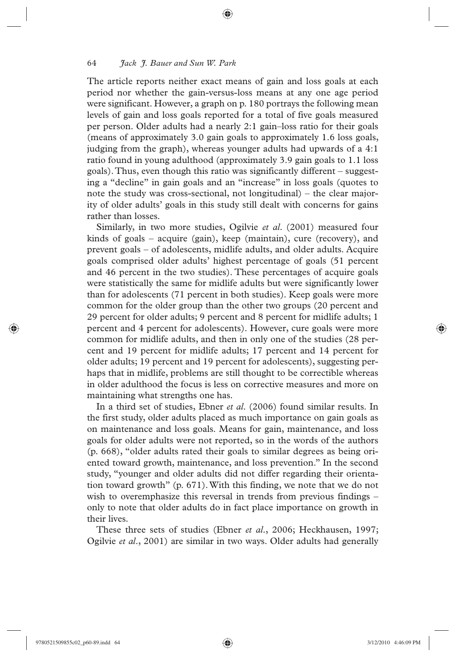The article reports neither exact means of gain and loss goals at each period nor whether the gain-versus-loss means at any one age period were significant. However, a graph on p. 180 portrays the following mean levels of gain and loss goals reported for a total of five goals measured per person. Older adults had a nearly 2:1 gain–loss ratio for their goals (means of approximately 3.0 gain goals to approximately 1.6 loss goals, judging from the graph), whereas younger adults had upwards of a 4:1 ratio found in young adulthood (approximately 3.9 gain goals to 1.1 loss goals). Thus, even though this ratio was significantly different – suggesting a "decline" in gain goals and an "increase" in loss goals (quotes to note the study was cross-sectional, not longitudinal) – the clear majority of older adults' goals in this study still dealt with concerns for gains rather than losses.

⊕

Similarly, in two more studies, Ogilvie et al. (2001) measured four kinds of goals – acquire (gain), keep (maintain), cure (recovery), and prevent goals – of adolescents, midlife adults, and older adults. Acquire goals comprised older adults' highest percentage of goals (51 percent and 46 percent in the two studies). These percentages of acquire goals were statistically the same for midlife adults but were significantly lower than for adolescents (71 percent in both studies). Keep goals were more common for the older group than the other two groups (20 percent and 29 percent for older adults; 9 percent and 8 percent for midlife adults; 1 percent and 4 percent for adolescents). However, cure goals were more common for midlife adults, and then in only one of the studies (28 percent and 19 percent for midlife adults; 17 percent and 14 percent for older adults; 19 percent and 19 percent for adolescents), suggesting perhaps that in midlife, problems are still thought to be correctible whereas in older adulthood the focus is less on corrective measures and more on maintaining what strengths one has.

In a third set of studies, Ebner *et al.* (2006) found similar results. In the first study, older adults placed as much importance on gain goals as on maintenance and loss goals. Means for gain, maintenance, and loss goals for older adults were not reported, so in the words of the authors (p. 668), "older adults rated their goals to similar degrees as being oriented toward growth, maintenance, and loss prevention." In the second study, "younger and older adults did not differ regarding their orientation toward growth" (p. 671). With this finding, we note that we do not wish to overemphasize this reversal in trends from previous findings – only to note that older adults do in fact place importance on growth in their lives .

These three sets of studies (Ebner et al., 2006; Heckhausen, 1997; Ogilvie *et al.*, 2001) are similar in two ways. Older adults had generally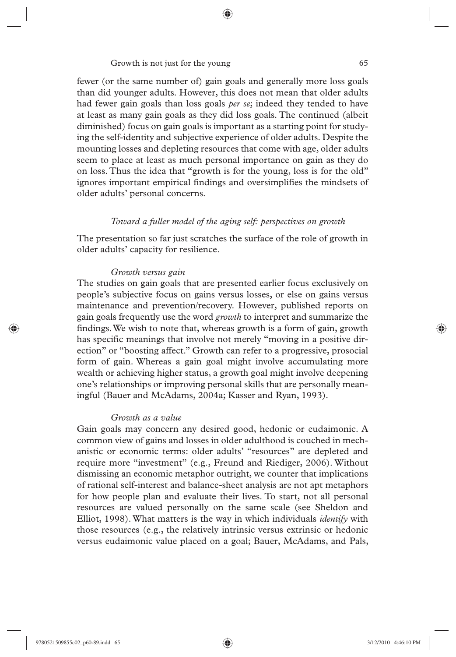fewer (or the same number of) gain goals and generally more loss goals than did younger adults. However, this does not mean that older adults had fewer gain goals than loss goals *per se*; indeed they tended to have at least as many gain goals as they did loss goals. The continued (albeit diminished) focus on gain goals is important as a starting point for studying the self-identity and subjective experience of older adults. Despite the mounting losses and depleting resources that come with age, older adults seem to place at least as much personal importance on gain as they do on loss. Thus the idea that "growth is for the young, loss is for the old" ignores important empirical findings and oversimplifies the mindsets of older adults' personal concerns.

♠

# *Toward a fuller model of the aging self: perspectives on growth*

The presentation so far just scratches the surface of the role of growth in older adults' capacity for resilience.

#### *Growth versus gain*

The studies on gain goals that are presented earlier focus exclusively on people's subjective focus on gains versus losses, or else on gains versus maintenance and prevention/recovery. However, published reports on gain goals frequently use the word *growth* to interpret and summarize the findings. We wish to note that, whereas growth is a form of gain, growth has specific meanings that involve not merely "moving in a positive direction" or "boosting affect." Growth can refer to a progressive, prosocial form of gain. Whereas a gain goal might involve accumulating more wealth or achieving higher status, a growth goal might involve deepening one's relationships or improving personal skills that are personally meaningful (Bauer and McAdams, 2004a; Kasser and Ryan, 1993).

#### *Growth as a value*

Gain goals may concern any desired good, hedonic or eudaimonic. A common view of gains and losses in older adulthood is couched in mechanistic or economic terms: older adults' "resources" are depleted and require more "investment" (e.g., Freund and Riediger, 2006). Without dismissing an economic metaphor outright, we counter that implications of rational self-interest and balance-sheet analysis are not apt metaphors for how people plan and evaluate their lives. To start, not all personal resources are valued personally on the same scale (see Sheldon and Elliot, 1998). What matters is the way in which individuals *identify* with those resources (e.g., the relatively intrinsic versus extrinsic or hedonic versus eudaimonic value placed on a goal; Bauer, McAdams, and Pals,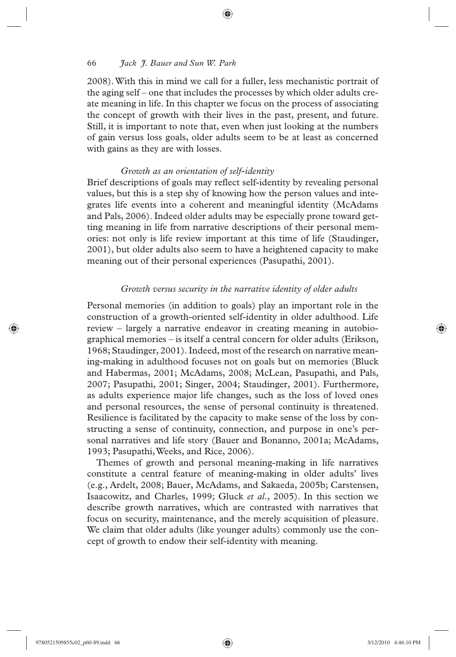2008 ). With this in mind we call for a fuller, less mechanistic portrait of the aging self – one that includes the processes by which older adults create meaning in life. In this chapter we focus on the process of associating the concept of growth with their lives in the past, present, and future. Still, it is important to note that, even when just looking at the numbers of gain versus loss goals, older adults seem to be at least as concerned with gains as they are with losses.

⊕

# *Growth as an orientation of self-identity*

Brief descriptions of goals may reflect self-identity by revealing personal values, but this is a step shy of knowing how the person values and integrates life events into a coherent and meaningful identity (McAdams and Pals, 2006). Indeed older adults may be especially prone toward getting meaning in life from narrative descriptions of their personal memories: not only is life review important at this time of life (Staudinger, 2001 ), but older adults also seem to have a heightened capacity to make meaning out of their personal experiences (Pasupathi, 2001).

#### *Growth versus security in the narrative identity of older adults*

Personal memories (in addition to goals) play an important role in the construction of a growth-oriented self-identity in older adulthood. Life review – largely a narrative endeavor in creating meaning in autobiographical memories – is itself a central concern for older adults (Erikson, 1968; Staudinger, 2001). Indeed, most of the research on narrative meaning-making in adulthood focuses not on goals but on memories (Bluck and Habermas, 2001; McAdams, 2008; McLean, Pasupathi, and Pals, 2007; Pasupathi, 2001; Singer, 2004; Staudinger, 2001). Furthermore, as adults experience major life changes, such as the loss of loved ones and personal resources, the sense of personal continuity is threatened. Resilience is facilitated by the capacity to make sense of the loss by constructing a sense of continuity, connection, and purpose in one's personal narratives and life story (Bauer and Bonanno, 2001a; McAdams, 1993; Pasupathi, Weeks, and Rice, 2006).

Themes of growth and personal meaning-making in life narratives constitute a central feature of meaning-making in older adults' lives (e.g., Ardelt, 2008; Bauer, McAdams, and Sakaeda, 2005b; Carstensen, Isaacowitz, and Charles, 1999; Gluck et al., 2005). In this section we describe growth narratives, which are contrasted with narratives that focus on security, maintenance, and the merely acquisition of pleasure. We claim that older adults (like younger adults) commonly use the concept of growth to endow their self-identity with meaning.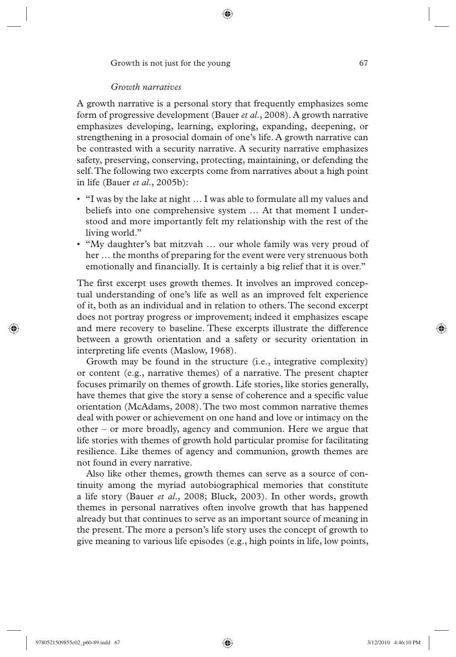#### *Growth narratives*

A growth narrative is a personal story that frequently emphasizes some form of progressive development (Bauer *et al*., 2008 ). A growth narrative emphasizes developing, learning, exploring, expanding, deepening, or strengthening in a prosocial domain of one's life. A growth narrative can be contrasted with a security narrative. A security narrative emphasizes safety, preserving, conserving, protecting, maintaining, or defending the self. The following two excerpts come from narratives about a high point in life (Bauer *et al*., 2005b ):

⊕

- "I was by the lake at night … I was able to formulate all my values and beliefs into one comprehensive system … At that moment I understood and more importantly felt my relationship with the rest of the living world."
- "My daughter's bat mitzvah … our whole family was very proud of her … the months of preparing for the event were very strenuous both emotionally and financially. It is certainly a big relief that it is over."

The first excerpt uses growth themes. It involves an improved conceptual understanding of one's life as well as an improved felt experience of it, both as an individual and in relation to others. The second excerpt does not portray progress or improvement; indeed it emphasizes escape and mere recovery to baseline. These excerpts illustrate the difference between a growth orientation and a safety or security orientation in interpreting life events (Maslow, 1968).

Growth may be found in the structure (i.e., integrative complexity) or content (e.g., narrative themes) of a narrative. The present chapter focuses primarily on themes of growth. Life stories, like stories generally, have themes that give the story a sense of coherence and a specific value orientation (McAdams, 2008). The two most common narrative themes deal with power or achievement on one hand and love or intimacy on the other – or more broadly, agency and communion. Here we argue that life stories with themes of growth hold particular promise for facilitating resilience. Like themes of agency and communion, growth themes are not found in every narrative.

Also like other themes, growth themes can serve as a source of continuity among the myriad autobiographical memories that constitute a life story (Bauer et al., 2008; Bluck, 2003). In other words, growth themes in personal narratives often involve growth that has happened already but that continues to serve as an important source of meaning in the present. The more a person's life story uses the concept of growth to give meaning to various life episodes (e.g., high points in life, low points,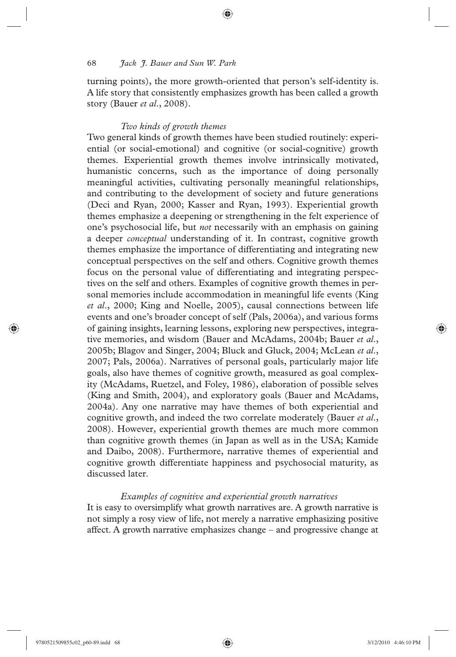turning points), the more growth-oriented that person's self-identity is. A life story that consistently emphasizes growth has been called a growth story (Bauer *et al.*, 2008).

♠

### *Two kinds of growth themes*

Two general kinds of growth themes have been studied routinely: experiential (or social-emotional) and cognitive (or social-cognitive) growth themes. Experiential growth themes involve intrinsically motivated, humanistic concerns, such as the importance of doing personally meaningful activities, cultivating personally meaningful relationships, and contributing to the development of society and future generations (Deci and Ryan, 2000; Kasser and Ryan, 1993). Experiential growth themes emphasize a deepening or strengthening in the felt experience of one's psychosocial life, but *not* necessarily with an emphasis on gaining a deeper *conceptual* understanding of it. In contrast, cognitive growth themes emphasize the importance of differentiating and integrating new conceptual perspectives on the self and others. Cognitive growth themes focus on the personal value of differentiating and integrating perspectives on the self and others. Examples of cognitive growth themes in personal memories include accommodation in meaningful life events (King et al., 2000; King and Noelle, 2005), causal connections between life events and one's broader concept of self (Pals, 2006a ), and various forms of gaining insights, learning lessons, exploring new perspectives, integrative memories, and wisdom (Bauer and McAdams, 2004b; Bauer et al., 2005b; Blagov and Singer, 2004; Bluck and Gluck, 2004; McLean et al., 2007; Pals, 2006a). Narratives of personal goals, particularly major life goals, also have themes of cognitive growth, measured as goal complexity (McAdams, Ruetzel, and Foley, 1986), elaboration of possible selves (King and Smith, 2004), and exploratory goals (Bauer and McAdams, 2004a). Any one narrative may have themes of both experiential and cognitive growth, and indeed the two correlate moderately (Bauer *et al*., 2008). However, experiential growth themes are much more common than cognitive growth themes (in Japan as well as in the USA; Kamide and Daibo, 2008). Furthermore, narrative themes of experiential and cognitive growth differentiate happiness and psychosocial maturity, as discussed later.

#### *Examples of cognitive and experiential growth narratives*

It is easy to oversimplify what growth narratives are. A growth narrative is not simply a rosy view of life, not merely a narrative emphasizing positive affect. A growth narrative emphasizes change – and progressive change at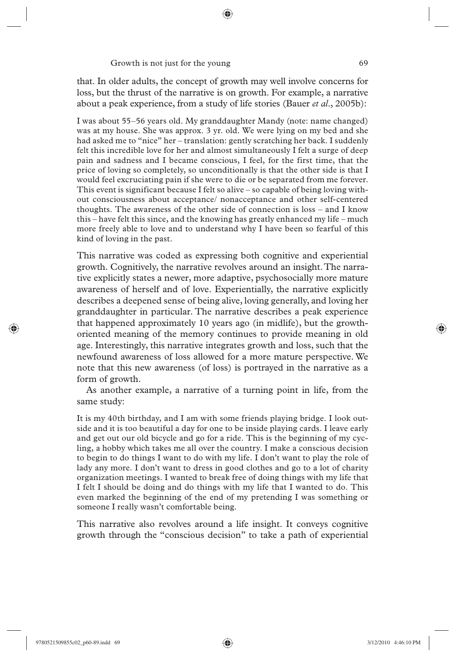that. In older adults, the concept of growth may well involve concerns for loss, but the thrust of the narrative is on growth. For example, a narrative about a peak experience, from a study of life stories (Bauer *et al.*, 2005b):

⊕

I was about 55–56 years old. My granddaughter Mandy (note: name changed) was at my house. She was approx. 3 yr. old. We were lying on my bed and she had asked me to "nice" her – translation: gently scratching her back. I suddenly felt this incredible love for her and almost simultaneously I felt a surge of deep pain and sadness and I became conscious, I feel, for the first time, that the price of loving so completely, so unconditionally is that the other side is that I would feel excruciating pain if she were to die or be separated from me forever. This event is significant because I felt so alive – so capable of being loving without consciousness about acceptance/ nonacceptance and other self-centered thoughts. The awareness of the other side of connection is loss – and I know this – have felt this since, and the knowing has greatly enhanced my life – much more freely able to love and to understand why I have been so fearful of this kind of loving in the past.

This narrative was coded as expressing both cognitive and experiential growth. Cognitively, the narrative revolves around an insight. The narrative explicitly states a newer, more adaptive, psychosocially more mature awareness of herself and of love. Experientially, the narrative explicitly describes a deepened sense of being alive, loving generally, and loving her granddaughter in particular. The narrative describes a peak experience that happened approximately 10 years ago (in midlife), but the growthoriented meaning of the memory continues to provide meaning in old age. Interestingly, this narrative integrates growth and loss, such that the newfound awareness of loss allowed for a more mature perspective. We note that this new awareness (of loss) is portrayed in the narrative as a form of growth.

As another example, a narrative of a turning point in life, from the same study:

It is my 40th birthday, and I am with some friends playing bridge. I look outside and it is too beautiful a day for one to be inside playing cards. I leave early and get out our old bicycle and go for a ride. This is the beginning of my cycling, a hobby which takes me all over the country. I make a conscious decision to begin to do things I want to do with my life. I don't want to play the role of lady any more. I don't want to dress in good clothes and go to a lot of charity organization meetings. I wanted to break free of doing things with my life that I felt I should be doing and do things with my life that I wanted to do. This even marked the beginning of the end of my pretending I was something or someone I really wasn't comfortable being.

This narrative also revolves around a life insight. It conveys cognitive growth through the "conscious decision" to take a path of experiential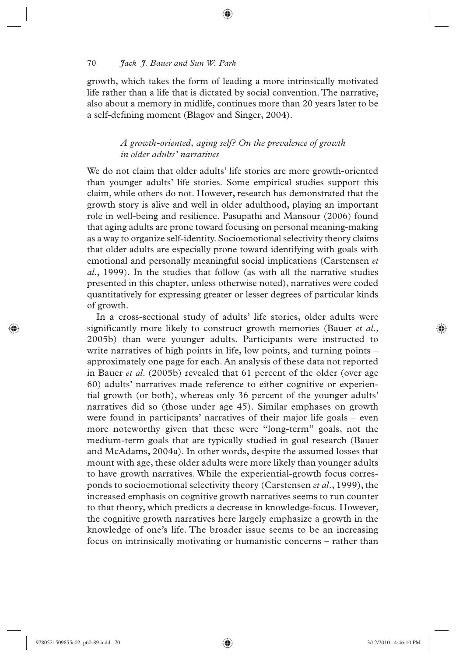growth, which takes the form of leading a more intrinsically motivated life rather than a life that is dictated by social convention. The narrative, also about a memory in midlife, continues more than 20 years later to be a self-defining moment (Blagov and Singer, 2004).

⊕

# *A growth-oriented, aging self? On the prevalence of growth in older adults' narratives*

We do not claim that older adults' life stories are more growth-oriented than younger adults' life stories. Some empirical studies support this claim, while others do not. However, research has demonstrated that the growth story is alive and well in older adulthood, playing an important role in well-being and resilience. Pasupathi and Mansour (2006) found that aging adults are prone toward focusing on personal meaning-making as a way to organize self-identity. Socioemotional selectivity theory claims that older adults are especially prone toward identifying with goals with emotional and personally meaningful social implications (Carstensen *et al.*, 1999). In the studies that follow (as with all the narrative studies presented in this chapter, unless otherwise noted), narratives were coded quantitatively for expressing greater or lesser degrees of particular kinds of growth.

In a cross-sectional study of adults' life stories, older adults were significantly more likely to construct growth memories (Bauer *et al*., 2005b) than were younger adults. Participants were instructed to write narratives of high points in life, low points, and turning points – approximately one page for each. An analysis of these data not reported in Bauer *et al.* (2005b) revealed that 61 percent of the older (over age 60) adults' narratives made reference to either cognitive or experiential growth (or both), whereas only 36 percent of the younger adults' narratives did so (those under age 45) . Similar emphases on growth were found in participants' narratives of their major life goals – even more noteworthy given that these were "long-term" goals, not the medium-term goals that are typically studied in goal research (Bauer and McAdams, 2004a). In other words, despite the assumed losses that mount with age, these older adults were more likely than younger adults to have growth narratives. While the experiential-growth focus corresponds to socioemotional selectivity theory (Carstensen *et al*., 1999 ), the increased emphasis on cognitive growth narratives seems to run counter to that theory, which predicts a decrease in knowledge-focus. However, the cognitive growth narratives here largely emphasize a growth in the knowledge of one's life. The broader issue seems to be an increasing focus on intrinsically motivating or humanistic concerns – rather than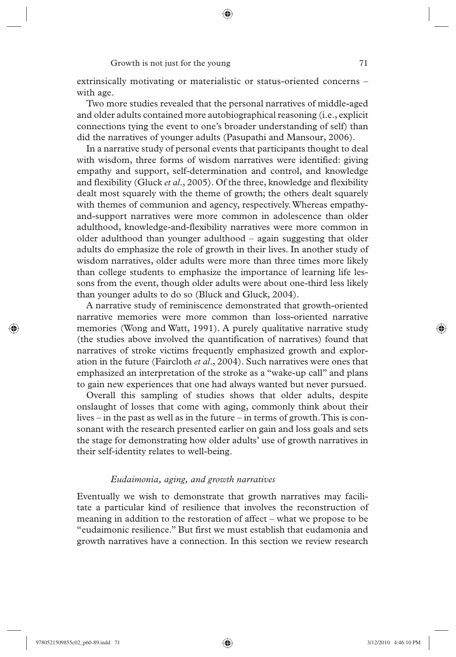extrinsically motivating or materialistic or status-oriented concerns – with age.

♠

Two more studies revealed that the personal narratives of middle-aged and older adults contained more autobiographical reasoning (i.e., explicit connections tying the event to one's broader understanding of self) than did the narratives of younger adults (Pasupathi and Mansour, 2006).

In a narrative study of personal events that participants thought to deal with wisdom, three forms of wisdom narratives were identified: giving empathy and support, self-determination and control, and knowledge and flexibility (Gluck et al., 2005). Of the three, knowledge and flexibility dealt most squarely with the theme of growth; the others dealt squarely with themes of communion and agency, respectively. Whereas empathyand-support narratives were more common in adolescence than older adulthood, knowledge-and-flexibility narratives were more common in older adulthood than younger adulthood – again suggesting that older adults do emphasize the role of growth in their lives. In another study of wisdom narratives, older adults were more than three times more likely than college students to emphasize the importance of learning life lessons from the event, though older adults were about one-third less likely than younger adults to do so (Bluck and Gluck, 2004).

A narrative study of reminiscence demonstrated that growth-oriented narrative memories were more common than loss-oriented narrative memories (Wong and Watt, 1991). A purely qualitative narrative study (the studies above involved the quantification of narratives) found that narratives of stroke victims frequently emphasized growth and exploration in the future (Faircloth *et al*., 2004 ). Such narratives were ones that emphasized an interpretation of the stroke as a "wake-up call" and plans to gain new experiences that one had always wanted but never pursued.

Overall this sampling of studies shows that older adults, despite onslaught of losses that come with aging, commonly think about their lives – in the past as well as in the future – in terms of growth. This is consonant with the research presented earlier on gain and loss goals and sets the stage for demonstrating how older adults' use of growth narratives in their self-identity relates to well-being.

#### *Eudaimonia, aging, and growth narratives*

Eventually we wish to demonstrate that growth narratives may facilitate a particular kind of resilience that involves the reconstruction of meaning in addition to the restoration of affect – what we propose to be "eudaimonic resilience." But first we must establish that eudamonia and growth narratives have a connection. In this section we review research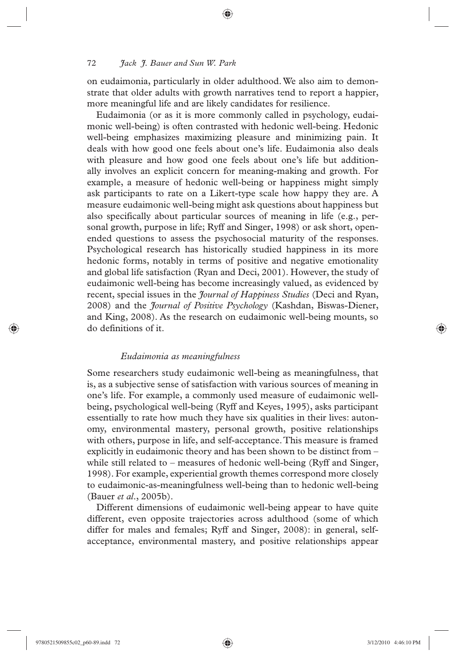on eudaimonia, particularly in older adulthood. We also aim to demonstrate that older adults with growth narratives tend to report a happier, more meaningful life and are likely candidates for resilience.

♠

Eudaimonia (or as it is more commonly called in psychology, eudaimonic well-being) is often contrasted with hedonic well-being. Hedonic well-being emphasizes maximizing pleasure and minimizing pain. It deals with how good one feels about one's life. Eudaimonia also deals with pleasure and how good one feels about one's life but additionally involves an explicit concern for meaning-making and growth. For example, a measure of hedonic well-being or happiness might simply ask participants to rate on a Likert-type scale how happy they are. A measure eudaimonic well-being might ask questions about happiness but also specifically about particular sources of meaning in life (e.g., personal growth, purpose in life; Ryff and Singer, 1998) or ask short, openended questions to assess the psychosocial maturity of the responses. Psychological research has historically studied happiness in its more hedonic forms, notably in terms of positive and negative emotionality and global life satisfaction (Ryan and Deci, 2001 ). However, the study of eudaimonic well-being has become increasingly valued, as evidenced by recent, special issues in the *Journal of Happiness Studies* (Deci and Ryan, 2008 ) and the *Journal of Positive Psychology* (Kashdan, Biswas-Diener, and King, 2008). As the research on eudaimonic well-being mounts, so do definitions of it.

#### *Eudaimonia as meaningfulness*

Some researchers study eudaimonic well-being as meaningfulness, that is, as a subjective sense of satisfaction with various sources of meaning in one's life. For example, a commonly used measure of eudaimonic wellbeing, psychological well-being (Ryff and Keyes, 1995), asks participant essentially to rate how much they have six qualities in their lives: autonomy, environmental mastery, personal growth, positive relationships with others, purpose in life, and self-acceptance. This measure is framed explicitly in eudaimonic theory and has been shown to be distinct from – while still related to – measures of hedonic well-being (Ryff and Singer, 1998 ). For example, experiential growth themes correspond more closely to eudaimonic-as-meaningfulness well-being than to hedonic well-being (Bauer *et al.*, 2005b).

Different dimensions of eudaimonic well-being appear to have quite different, even opposite trajectories across adulthood (some of which differ for males and females; Ryff and Singer, 2008): in general, selfacceptance, environmental mastery, and positive relationships appear ◈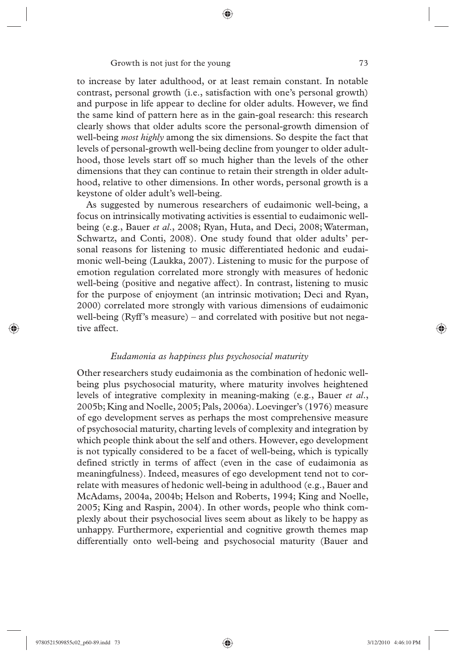to increase by later adulthood, or at least remain constant. In notable contrast, personal growth (i.e., satisfaction with one's personal growth) and purpose in life appear to decline for older adults. However, we find the same kind of pattern here as in the gain-goal research: this research clearly shows that older adults score the personal-growth dimension of well-being *most highly* among the six dimensions. So despite the fact that levels of personal-growth well-being decline from younger to older adulthood, those levels start off so much higher than the levels of the other dimensions that they can continue to retain their strength in older adulthood, relative to other dimensions. In other words, personal growth is a keystone of older adult's well-being.

♠

As suggested by numerous researchers of eudaimonic well-being, a focus on intrinsically motivating activities is essential to eudaimonic wellbeing (e.g., Bauer et al., 2008; Ryan, Huta, and Deci, 2008; Waterman, Schwartz, and Conti, 2008). One study found that older adults' personal reasons for listening to music differentiated hedonic and eudaimonic well-being (Laukka, 2007). Listening to music for the purpose of emotion regulation correlated more strongly with measures of hedonic well-being (positive and negative affect). In contrast, listening to music for the purpose of enjoyment (an intrinsic motivation; Deci and Ryan, 2000 ) correlated more strongly with various dimensions of eudaimonic well-being (Ryff's measure) – and correlated with positive but not negative affect.

#### *Eudamonia as happiness plus psychosocial maturity*

Other researchers study eudaimonia as the combination of hedonic wellbeing plus psychosocial maturity, where maturity involves heightened levels of integrative complexity in meaning-making (e.g., Bauer *et al*., 2005b; King and Noelle, 2005; Pals, 2006a). Loevinger's (1976) measure of ego development serves as perhaps the most comprehensive measure of psychosocial maturity, charting levels of complexity and integration by which people think about the self and others. However, ego development is not typically considered to be a facet of well-being, which is typically defined strictly in terms of affect (even in the case of eudaimonia as meaningfulness). Indeed, measures of ego development tend not to correlate with measures of hedonic well-being in adulthood (e.g., Bauer and McAdams, 2004a, 2004b; Helson and Roberts, 1994; King and Noelle, 2005; King and Raspin, 2004). In other words, people who think complexly about their psychosocial lives seem about as likely to be happy as unhappy. Furthermore, experiential and cognitive growth themes map differentially onto well-being and psychosocial maturity (Bauer and

◈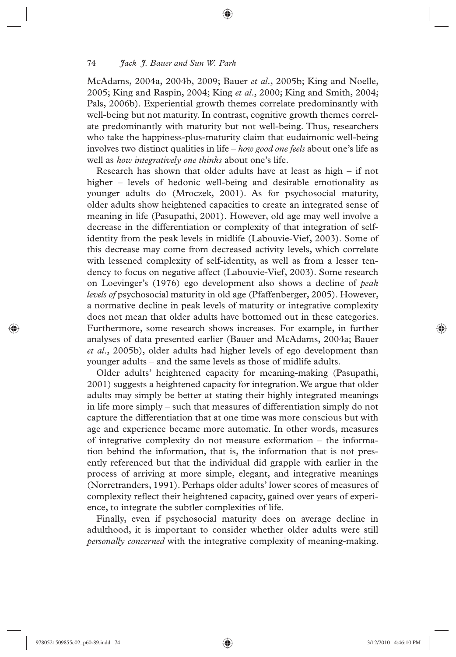McAdams, 2004a, 2004b, 2009; Bauer *et al.*, 2005b; King and Noelle, 2005; King and Raspin, 2004; King et al., 2000; King and Smith, 2004; Pals, 2006b). Experiential growth themes correlate predominantly with well-being but not maturity. In contrast, cognitive growth themes correlate predominantly with maturity but not well-being. Thus, researchers who take the happiness-plus-maturity claim that eudaimonic well-being involves two distinct qualities in life – *how good one feels* about one's life as well as *how integratively one thinks* about one's life.

♠

Research has shown that older adults have at least as high – if not higher – levels of hedonic well-being and desirable emotionality as younger adults do (Mroczek, 2001). As for psychosocial maturity, older adults show heightened capacities to create an integrated sense of meaning in life (Pasupathi, 2001). However, old age may well involve a decrease in the differentiation or complexity of that integration of selfidentity from the peak levels in midlife (Labouvie-Vief, 2003). Some of this decrease may come from decreased activity levels, which correlate with lessened complexity of self-identity, as well as from a lesser tendency to focus on negative affect (Labouvie-Vief, 2003). Some research on Loevinger's ( 1976 ) ego development also shows a decline of *peak levels of* psychosocial maturity in old age (Pfaffenberger, 2005). However, a normative decline in peak levels of maturity or integrative complexity does not mean that older adults have bottomed out in these categories. Furthermore, some research shows increases. For example, in further analyses of data presented earlier (Bauer and McAdams, 2004a; Bauer et al., 2005b), older adults had higher levels of ego development than younger adults – and the same levels as those of midlife adults.

Older adults' heightened capacity for meaning-making (Pasupathi, 2001) suggests a heightened capacity for integration. We argue that older adults may simply be better at stating their highly integrated meanings in life more simply – such that measures of differentiation simply do not capture the differentiation that at one time was more conscious but with age and experience became more automatic. In other words, measures of integrative complexity do not measure exformation – the information behind the information, that is, the information that is not presently referenced but that the individual did grapple with earlier in the process of arriving at more simple, elegant, and integrative meanings (Norretranders, 1991). Perhaps older adults' lower scores of measures of complexity reflect their heightened capacity, gained over years of experience, to integrate the subtler complexities of life.

Finally, even if psychosocial maturity does on average decline in adulthood, it is important to consider whether older adults were still *personally concerned* with the integrative complexity of meaning-making.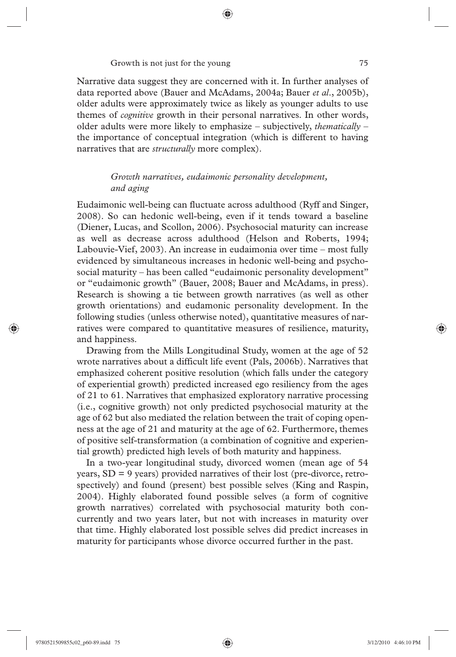Narrative data suggest they are concerned with it. In further analyses of data reported above (Bauer and McAdams, 2004a; Bauer et al., 2005b), older adults were approximately twice as likely as younger adults to use themes of *cognitive* growth in their personal narratives. In other words, older adults were more likely to emphasize – subjectively, *thematically* – the importance of conceptual integration (which is different to having narratives that are *structurally* more complex).

♠

# *Growth narratives, eudaimonic personality development, and aging*

Eudaimonic well-being can fluctuate across adulthood (Ryff and Singer, 2008). So can hedonic well-being, even if it tends toward a baseline (Diener, Lucas, and Scollon, 2006). Psychosocial maturity can increase as well as decrease across adulthood (Helson and Roberts, 1994; Labouvie-Vief, 2003). An increase in eudaimonia over time – most fully evidenced by simultaneous increases in hedonic well-being and psychosocial maturity – has been called "eudaimonic personality development" or "eudaimonic growth" (Bauer, 2008; Bauer and McAdams, in press). Research is showing a tie between growth narratives (as well as other growth orientations) and eudamonic personality development. In the following studies (unless otherwise noted), quantitative measures of narratives were compared to quantitative measures of resilience, maturity, and happiness.

Drawing from the Mills Longitudinal Study, women at the age of 52 wrote narratives about a difficult life event (Pals, 2006b). Narratives that emphasized coherent positive resolution (which falls under the category of experiential growth) predicted increased ego resiliency from the ages of 21 to 61. Narratives that emphasized exploratory narrative processing (i.e., cognitive growth) not only predicted psychosocial maturity at the age of 62 but also mediated the relation between the trait of coping openness at the age of 21 and maturity at the age of 62. Furthermore, themes of positive self-transformation (a combination of cognitive and experiential growth) predicted high levels of both maturity and happiness.

In a two-year longitudinal study, divorced women (mean age of 54 years, SD = 9 years) provided narratives of their lost (pre-divorce, retrospectively) and found (present) best possible selves (King and Raspin, 2004). Highly elaborated found possible selves (a form of cognitive growth narratives) correlated with psychosocial maturity both concurrently and two years later, but not with increases in maturity over that time. Highly elaborated lost possible selves did predict increases in maturity for participants whose divorce occurred further in the past.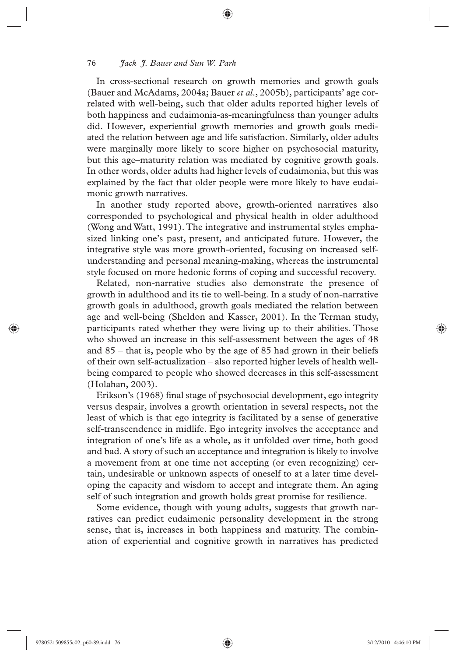In cross-sectional research on growth memories and growth goals (Bauer and McAdams, 2004a; Bauer et al., 2005b), participants' age correlated with well-being, such that older adults reported higher levels of both happiness and eudaimonia-as-meaningfulness than younger adults did. However, experiential growth memories and growth goals mediated the relation between age and life satisfaction. Similarly, older adults were marginally more likely to score higher on psychosocial maturity, but this age–maturity relation was mediated by cognitive growth goals. In other words, older adults had higher levels of eudaimonia, but this was explained by the fact that older people were more likely to have eudaimonic growth narratives.

♠

In another study reported above, growth-oriented narratives also corresponded to psychological and physical health in older adulthood (Wong and Watt, 1991). The integrative and instrumental styles emphasized linking one's past, present, and anticipated future. However, the integrative style was more growth-oriented, focusing on increased selfunderstanding and personal meaning-making, whereas the instrumental style focused on more hedonic forms of coping and successful recovery.

Related, non-narrative studies also demonstrate the presence of growth in adulthood and its tie to well-being. In a study of non-narrative growth goals in adulthood, growth goals mediated the relation between age and well-being (Sheldon and Kasser, 2001). In the Terman study, participants rated whether they were living up to their abilities. Those who showed an increase in this self-assessment between the ages of 48 and 85 – that is, people who by the age of 85 had grown in their beliefs of their own self-actualization – also reported higher levels of health wellbeing compared to people who showed decreases in this self-assessment (Holahan, 2003).

Erikson's (1968) final stage of psychosocial development, ego integrity versus despair, involves a growth orientation in several respects, not the least of which is that ego integrity is facilitated by a sense of generative self-transcendence in midlife. Ego integrity involves the acceptance and integration of one's life as a whole, as it unfolded over time, both good and bad. A story of such an acceptance and integration is likely to involve a movement from at one time not accepting (or even recognizing) certain, undesirable or unknown aspects of oneself to at a later time developing the capacity and wisdom to accept and integrate them. An aging self of such integration and growth holds great promise for resilience.

Some evidence, though with young adults, suggests that growth narratives can predict eudaimonic personality development in the strong sense, that is, increases in both happiness and maturity. The combination of experiential and cognitive growth in narratives has predicted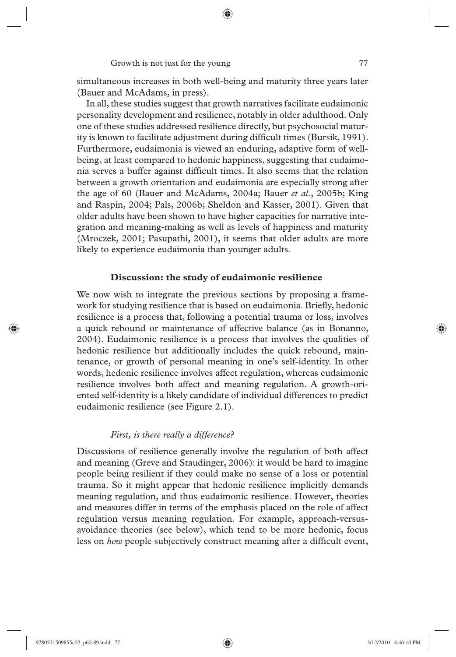simultaneous increases in both well-being and maturity three years later (Bauer and McAdams, in press).

♠

In all, these studies suggest that growth narratives facilitate eudaimonic personality development and resilience, notably in older adulthood. Only one of these studies addressed resilience directly, but psychosocial maturity is known to facilitate adjustment during difficult times (Bursik, 1991). Furthermore, eudaimonia is viewed an enduring, adaptive form of wellbeing, at least compared to hedonic happiness, suggesting that eudaimonia serves a buffer against difficult times. It also seems that the relation between a growth orientation and eudaimonia are especially strong after the age of 60 (Bauer and McAdams, 2004a; Bauer *et al.*, 2005b; King and Raspin, 2004; Pals, 2006b; Sheldon and Kasser, 2001). Given that older adults have been shown to have higher capacities for narrative integration and meaning-making as well as levels of happiness and maturity (Mroczek, 2001; Pasupathi, 2001), it seems that older adults are more likely to experience eudaimonia than younger adults.

#### **Discussion: the study of eudaimonic resilience**

We now wish to integrate the previous sections by proposing a framework for studying resilience that is based on eudaimonia. Briefly, hedonic resilience is a process that, following a potential trauma or loss, involves a quick rebound or maintenance of affective balance (as in Bonanno, 2004). Eudaimonic resilience is a process that involves the qualities of hedonic resilience but additionally includes the quick rebound, maintenance, or growth of personal meaning in one's self-identity. In other words, hedonic resilience involves affect regulation, whereas eudaimonic resilience involves both affect and meaning regulation. A growth-oriented self-identity is a likely candidate of individual differences to predict eudaimonic resilience (see Figure 2.1).

# *First, is there really a difference?*

Discussions of resilience generally involve the regulation of both affect and meaning (Greve and Staudinger, 2006 ): it would be hard to imagine people being resilient if they could make no sense of a loss or potential trauma. So it might appear that hedonic resilience implicitly demands meaning regulation, and thus eudaimonic resilience. However, theories and measures differ in terms of the emphasis placed on the role of affect regulation versus meaning regulation. For example, approach-versusavoidance theories (see below), which tend to be more hedonic, focus less on *how* people subjectively construct meaning after a difficult event,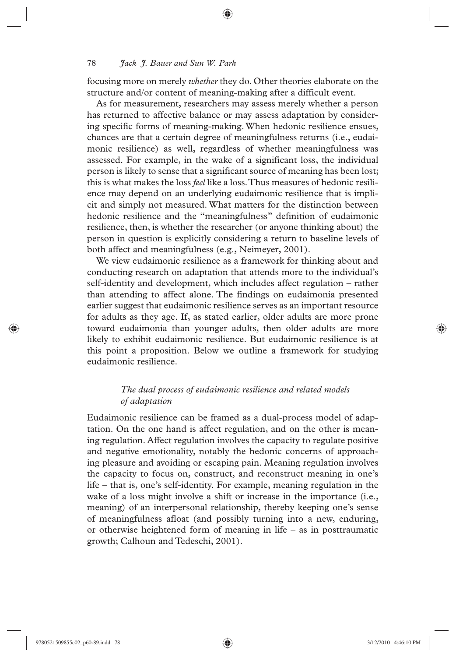focusing more on merely *whether* they do. Other theories elaborate on the structure and/or content of meaning-making after a difficult event.

⊕

As for measurement, researchers may assess merely whether a person has returned to affective balance or may assess adaptation by considering specific forms of meaning-making. When hedonic resilience ensues, chances are that a certain degree of meaningfulness returns (i.e., eudaimonic resilience) as well, regardless of whether meaningfulness was assessed. For example, in the wake of a significant loss, the individual person is likely to sense that a significant source of meaning has been lost; this is what makes the loss *feel* like a loss. Thus measures of hedonic resilience may depend on an underlying eudaimonic resilience that is implicit and simply not measured. What matters for the distinction between hedonic resilience and the "meaningfulness" definition of eudaimonic resilience, then, is whether the researcher (or anyone thinking about) the person in question is explicitly considering a return to baseline levels of both affect and meaningfulness (e.g., Neimeyer, 2001).

We view eudaimonic resilience as a framework for thinking about and conducting research on adaptation that attends more to the individual's self-identity and development, which includes affect regulation – rather than attending to affect alone. The findings on eudaimonia presented earlier suggest that eudaimonic resilience serves as an important resource for adults as they age. If, as stated earlier, older adults are more prone toward eudaimonia than younger adults, then older adults are more likely to exhibit eudaimonic resilience. But eudaimonic resilience is at this point a proposition. Below we outline a framework for studying eudaimonic resilience.

# *The dual process of eudaimonic resilience and related models of adaptation*

Eudaimonic resilience can be framed as a dual-process model of adaptation. On the one hand is affect regulation, and on the other is meaning regulation. Affect regulation involves the capacity to regulate positive and negative emotionality, notably the hedonic concerns of approaching pleasure and avoiding or escaping pain. Meaning regulation involves the capacity to focus on, construct, and reconstruct meaning in one's life – that is, one's self-identity. For example, meaning regulation in the wake of a loss might involve a shift or increase in the importance (i.e., meaning) of an interpersonal relationship, thereby keeping one's sense of meaningfulness afloat (and possibly turning into a new, enduring, or otherwise heightened form of meaning in life – as in posttraumatic growth; Calhoun and Tedeschi, 2001).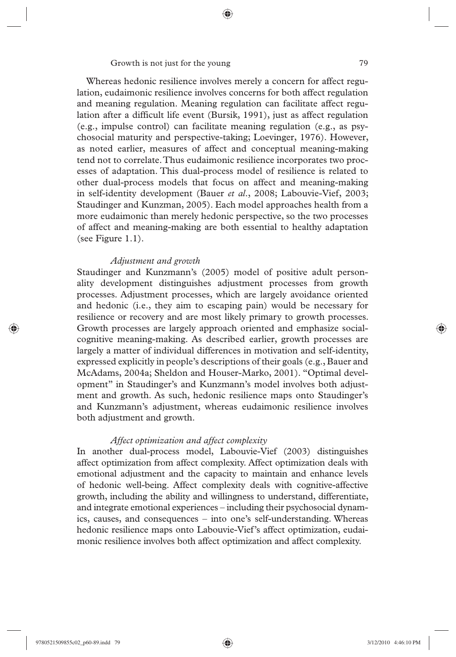Whereas hedonic resilience involves merely a concern for affect regulation, eudaimonic resilience involves concerns for both affect regulation and meaning regulation. Meaning regulation can facilitate affect regulation after a difficult life event (Bursik, 1991), just as affect regulation (e.g., impulse control) can facilitate meaning regulation (e.g., as psychosocial maturity and perspective-taking; Loevinger, 1976). However, as noted earlier, measures of affect and conceptual meaning-making tend not to correlate. Thus eudaimonic resilience incorporates two processes of adaptation. This dual-process model of resilience is related to other dual-process models that focus on affect and meaning-making in self-identity development (Bauer *et al.*, 2008; Labouvie-Vief, 2003; Staudinger and Kunzman, 2005 ). Each model approaches health from a more eudaimonic than merely hedonic perspective, so the two processes of affect and meaning-making are both essential to healthy adaptation (see Figure  $1.1$ ).

♠

#### *Adjustment and growth*

Staudinger and Kunzmann's (2005) model of positive adult personality development distinguishes adjustment processes from growth processes. Adjustment processes, which are largely avoidance oriented and hedonic (i.e., they aim to escaping pain) would be necessary for resilience or recovery and are most likely primary to growth processes. Growth processes are largely approach oriented and emphasize socialcognitive meaning-making. As described earlier, growth processes are largely a matter of individual differences in motivation and self-identity, expressed explicitly in people's descriptions of their goals (e.g., Bauer and McAdams, 2004a; Sheldon and Houser-Marko, 2001). "Optimal development" in Staudinger's and Kunzmann's model involves both adjustment and growth. As such, hedonic resilience maps onto Staudinger's and Kunzmann's adjustment, whereas eudaimonic resilience involves both adjustment and growth.

# *Affect optimization and affect complexity*

In another dual-process model, Labouvie-Vief (2003) distinguishes affect optimization from affect complexity. Affect optimization deals with emotional adjustment and the capacity to maintain and enhance levels of hedonic well-being. Affect complexity deals with cognitive-affective growth, including the ability and willingness to understand, differentiate, and integrate emotional experiences – including their psychosocial dynamics, causes, and consequences – into one's self-understanding. Whereas hedonic resilience maps onto Labouvie-Vief's affect optimization, eudaimonic resilience involves both affect optimization and affect complexity.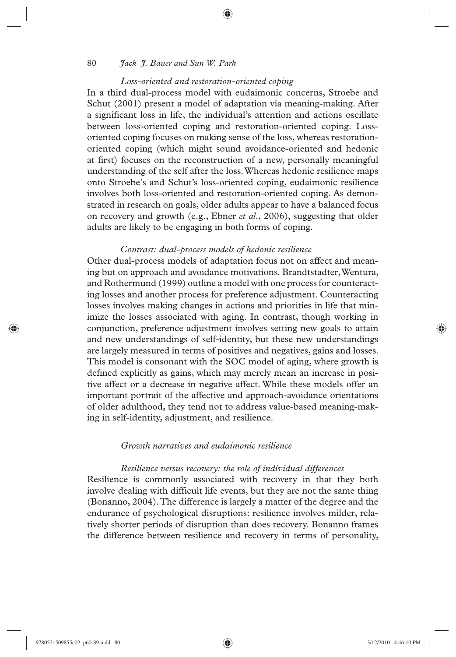#### *Loss-oriented and restoration-oriented coping*

⊕

In a third dual-process model with eudaimonic concerns, Stroebe and Schut (2001) present a model of adaptation via meaning-making. After a significant loss in life, the individual's attention and actions oscillate between loss-oriented coping and restoration-oriented coping. Lossoriented coping focuses on making sense of the loss, whereas restorationoriented coping (which might sound avoidance-oriented and hedonic at first) focuses on the reconstruction of a new, personally meaningful understanding of the self after the loss. Whereas hedonic resilience maps onto Stroebe's and Schut's loss-oriented coping, eudaimonic resilience involves both loss-oriented and restoration-oriented coping. As demonstrated in research on goals, older adults appear to have a balanced focus on recovery and growth (e.g., Ebner *et al*., 2006 ), suggesting that older adults are likely to be engaging in both forms of coping.

### *Contrast: dual-process models of hedonic resilience*

Other dual-process models of adaptation focus not on affect and meaning but on approach and avoidance motivations. Brandtstadter, Wentura, and Rothermund (1999) outline a model with one process for counteracting losses and another process for preference adjustment. Counteracting losses involves making changes in actions and priorities in life that minimize the losses associated with aging. In contrast, though working in conjunction, preference adjustment involves setting new goals to attain and new understandings of self-identity, but these new understandings are largely measured in terms of positives and negatives, gains and losses. This model is consonant with the SOC model of aging, where growth is defined explicitly as gains, which may merely mean an increase in positive affect or a decrease in negative affect. While these models offer an important portrait of the affective and approach-avoidance orientations of older adulthood, they tend not to address value-based meaning-making in self-identity, adjustment, and resilience.

# *Growth narratives and eudaimonic resilience*

#### *Resilience versus recovery: the role of individual differences*

Resilience is commonly associated with recovery in that they both involve dealing with difficult life events, but they are not the same thing (Bonanno, 2004). The difference is largely a matter of the degree and the endurance of psychological disruptions: resilience involves milder, relatively shorter periods of disruption than does recovery. Bonanno frames the difference between resilience and recovery in terms of personality,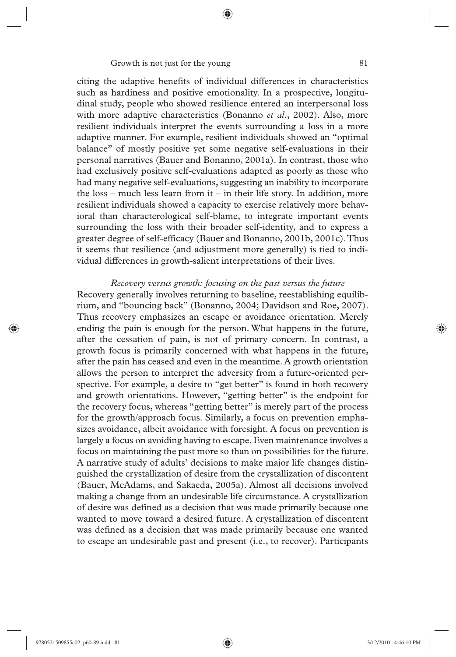citing the adaptive benefits of individual differences in characteristics such as hardiness and positive emotionality. In a prospective, longitudinal study, people who showed resilience entered an interpersonal loss with more adaptive characteristics (Bonanno *et al.*, 2002). Also, more resilient individuals interpret the events surrounding a loss in a more adaptive manner. For example, resilient individuals showed an "optimal balance" of mostly positive yet some negative self-evaluations in their personal narratives (Bauer and Bonanno, 2001a). In contrast, those who had exclusively positive self-evaluations adapted as poorly as those who had many negative self-evaluations, suggesting an inability to incorporate the loss – much less learn from  $it$  – in their life story. In addition, more resilient individuals showed a capacity to exercise relatively more behavioral than characterological self-blame, to integrate important events surrounding the loss with their broader self-identity, and to express a greater degree of self-efficacy (Bauer and Bonanno, 2001b, 2001c). Thus it seems that resilience (and adjustment more generally) is tied to individual differences in growth-salient interpretations of their lives.

♠

#### *Recovery versus growth: focusing on the past versus the future*

Recovery generally involves returning to baseline, reestablishing equilibrium, and "bouncing back" (Bonanno, 2004; Davidson and Roe, 2007). Thus recovery emphasizes an escape or avoidance orientation. Merely ending the pain is enough for the person. What happens in the future, after the cessation of pain, is not of primary concern. In contrast, a growth focus is primarily concerned with what happens in the future, after the pain has ceased and even in the meantime. A growth orientation allows the person to interpret the adversity from a future-oriented perspective. For example, a desire to "get better" is found in both recovery and growth orientations. However, "getting better" is the endpoint for the recovery focus, whereas "getting better" is merely part of the process for the growth/approach focus. Similarly, a focus on prevention emphasizes avoidance, albeit avoidance with foresight. A focus on prevention is largely a focus on avoiding having to escape. Even maintenance involves a focus on maintaining the past more so than on possibilities for the future. A narrative study of adults' decisions to make major life changes distinguished the crystallization of desire from the crystallization of discontent (Bauer, McAdams, and Sakaeda, 2005a ). Almost all decisions involved making a change from an undesirable life circumstance. A crystallization of desire was defined as a decision that was made primarily because one wanted to move toward a desired future. A crystallization of discontent was defined as a decision that was made primarily because one wanted to escape an undesirable past and present (i.e., to recover). Participants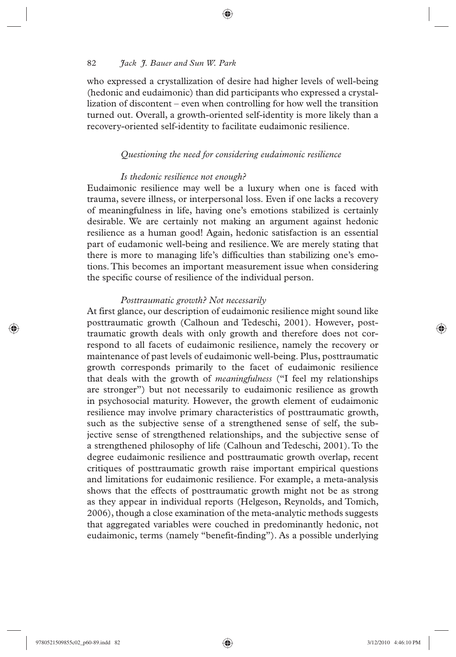who expressed a crystallization of desire had higher levels of well-being (hedonic and eudaimonic) than did participants who expressed a crystallization of discontent – even when controlling for how well the transition turned out. Overall, a growth-oriented self-identity is more likely than a recovery-oriented self-identity to facilitate eudaimonic resilience.

⊕

# *Questioning the need for considering eudaimonic resilience*

#### *Is thedonic resilience not enough?*

Eudaimonic resilience may well be a luxury when one is faced with trauma, severe illness, or interpersonal loss. Even if one lacks a recovery of meaningfulness in life, having one's emotions stabilized is certainly desirable. We are certainly not making an argument against hedonic resilience as a human good! Again, hedonic satisfaction is an essential part of eudamonic well-being and resilience. We are merely stating that there is more to managing life's difficulties than stabilizing one's emotions. This becomes an important measurement issue when considering the specific course of resilience of the individual person.

# *Posttraumatic growth? Not necessarily*

At first glance, our description of eudaimonic resilience might sound like posttraumatic growth (Calhoun and Tedeschi, 2001). However, posttraumatic growth deals with only growth and therefore does not correspond to all facets of eudaimonic resilience, namely the recovery or maintenance of past levels of eudaimonic well-being. Plus, posttraumatic growth corresponds primarily to the facet of eudaimonic resilience that deals with the growth of *meaningfulness* ("I feel my relationships are stronger") but not necessarily to eudaimonic resilience as growth in psychosocial maturity. However, the growth element of eudaimonic resilience may involve primary characteristics of posttraumatic growth, such as the subjective sense of a strengthened sense of self, the subjective sense of strengthened relationships, and the subjective sense of a strengthened philosophy of life (Calhoun and Tedeschi, 2001). To the degree eudaimonic resilience and posttraumatic growth overlap, recent critiques of posttraumatic growth raise important empirical questions and limitations for eudaimonic resilience. For example, a meta-analysis shows that the effects of posttraumatic growth might not be as strong as they appear in individual reports (Helgeson, Reynolds, and Tomich, 2006 ), though a close examination of the meta-analytic methods suggests that aggregated variables were couched in predominantly hedonic, not eudaimonic, terms (namely "benefit-finding"). As a possible underlying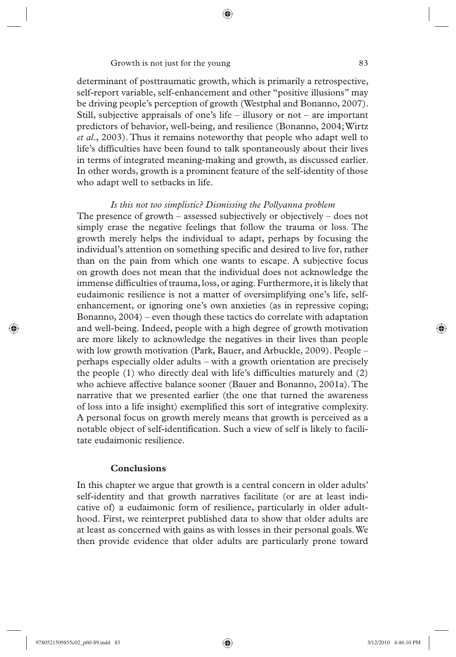determinant of posttraumatic growth, which is primarily a retrospective, self-report variable, self-enhancement and other "positive illusions" may be driving people's perception of growth (Westphal and Bonanno, 2007 ). Still, subjective appraisals of one's life – illusory or not – are important predictors of behavior, well-being, and resilience (Bonanno, 2004; Wirtz *et al*., 2003 ). Thus it remains noteworthy that people who adapt well to life's difficulties have been found to talk spontaneously about their lives in terms of integrated meaning-making and growth, as discussed earlier. In other words, growth is a prominent feature of the self-identity of those who adapt well to setbacks in life.

♠

#### *Is this not too simplistic? Dismissing the Pollyanna problem*

The presence of growth – assessed subjectively or objectively – does not simply erase the negative feelings that follow the trauma or loss. The growth merely helps the individual to adapt, perhaps by focusing the individual's attention on something specific and desired to live for, rather than on the pain from which one wants to escape. A subjective focus on growth does not mean that the individual does not acknowledge the immense difficulties of trauma, loss, or aging. Furthermore, it is likely that eudaimonic resilience is not a matter of oversimplifying one's life, selfenhancement, or ignoring one's own anxieties (as in repressive coping; Bonanno,  $2004$  – even though these tactics do correlate with adaptation and well-being. Indeed, people with a high degree of growth motivation are more likely to acknowledge the negatives in their lives than people with low growth motivation (Park, Bauer, and Arbuckle, 2009). People – perhaps especially older adults – with a growth orientation are precisely the people (1) who directly deal with life's difficulties maturely and (2) who achieve affective balance sooner (Bauer and Bonanno, 2001a). The narrative that we presented earlier (the one that turned the awareness of loss into a life insight) exemplified this sort of integrative complexity. A personal focus on growth merely means that growth is perceived as a notable object of self-identification. Such a view of self is likely to facilitate eudaimonic resilience.

#### **Conclusions**

In this chapter we argue that growth is a central concern in older adults' self-identity and that growth narratives facilitate (or are at least indicative of) a eudaimonic form of resilience, particularly in older adulthood. First, we reinterpret published data to show that older adults are at least as concerned with gains as with losses in their personal goals. We then provide evidence that older adults are particularly prone toward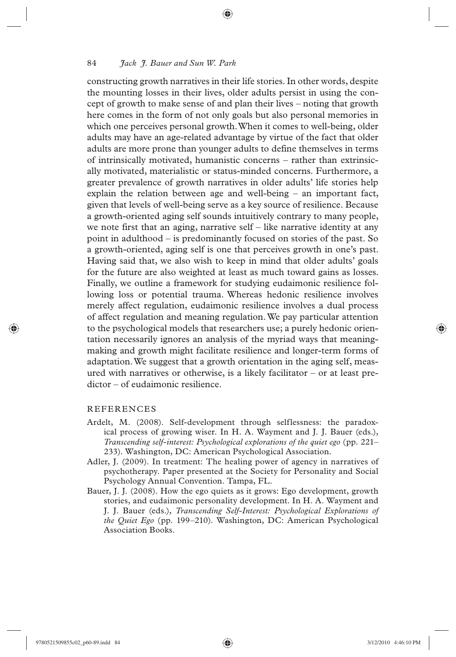constructing growth narratives in their life stories. In other words, despite the mounting losses in their lives, older adults persist in using the concept of growth to make sense of and plan their lives – noting that growth here comes in the form of not only goals but also personal memories in which one perceives personal growth. When it comes to well-being, older adults may have an age-related advantage by virtue of the fact that older adults are more prone than younger adults to define themselves in terms of intrinsically motivated, humanistic concerns – rather than extrinsically motivated, materialistic or status-minded concerns. Furthermore, a greater prevalence of growth narratives in older adults' life stories help explain the relation between age and well-being – an important fact, given that levels of well-being serve as a key source of resilience. Because a growth-oriented aging self sounds intuitively contrary to many people, we note first that an aging, narrative self – like narrative identity at any point in adulthood – is predominantly focused on stories of the past. So a growth-oriented, aging self is one that perceives growth in one's past. Having said that, we also wish to keep in mind that older adults' goals for the future are also weighted at least as much toward gains as losses. Finally, we outline a framework for studying eudaimonic resilience following loss or potential trauma. Whereas hedonic resilience involves merely affect regulation, eudaimonic resilience involves a dual process of affect regulation and meaning regulation. We pay particular attention to the psychological models that researchers use; a purely hedonic orientation necessarily ignores an analysis of the myriad ways that meaningmaking and growth might facilitate resilience and longer-term forms of adaptation. We suggest that a growth orientation in the aging self, measured with narratives or otherwise, is a likely facilitator – or at least predictor – of eudaimonic resilience.

⊕

#### **REFERENCES**

- Ardelt, M. (2008). Self-development through selflessness: the paradoxical process of growing wiser. In H. A. Wayment and J. J. Bauer (eds.), *Transcending self-interest: Psychological explorations of the quiet ego* (pp. 221– 233). Washington, DC: American Psychological Association.
- Adler, J. (2009). In treatment: The healing power of agency in narratives of psychotherapy. Paper presented at the Society for Personality and Social Psychology Annual Convention. Tampa, FL.
- Bauer, J. J. (2008). How the ego quiets as it grows: Ego development, growth stories, and eudaimonic personality development. In H. A. Wayment and J. J. Bauer (eds.), *Transcending Self-Interest: Psychological Explorations of the Quiet Ego* (pp. 199–210). Washington, DC: American Psychological Association Books .

9780521509855c02\_p60-89.indd 84 3/12/2010 4:46:10 PM /12/2010 4:46:10 PM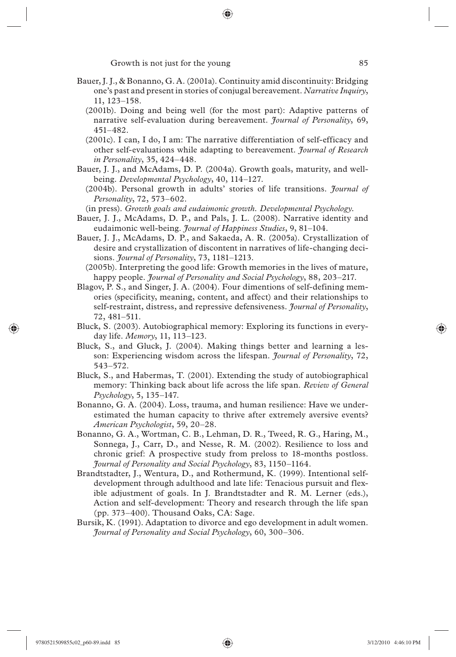- Bauer, J. J., & Bonanno, G. A. (2001a). Continuity amid discontinuity: Bridging one's past and present in stories of conjugal bereavement . *Narrative Inquiry*, 11, 123-158.
	- (2001b). Doing and being well (for the most part): Adaptive patterns of narrative self-evaluation during bereavement. *Journal of Personality*, 69, 451 –482.
	- $(2001c)$ . I can, I do, I am: The narrative differentiation of self-efficacy and other self-evaluations while adapting to bereavement . *Journal of Research in Personality*, 35, 424–448.
- Bauer, J. J., and McAdams, D. P. (2004a). Growth goals, maturity, and wellbeing. *Developmental Psychology*, 40, 114-127.
	- (2004b). Personal growth in adults' stories of life transitions. *Journal of Personality*, 72 , 573 –602.
	- (in press). Growth goals and eudaimonic growth. Developmental Psychology.
- Bauer, J. J., McAdams, D. P., and Pals, J. L. (2008). Narrative identity and eudaimonic well-being. *Journal of Happiness Studies*, 9, 81-104.
- Bauer, J. J., McAdams, D. P., and Sakaeda, A. R. (2005a). Crystallization of desire and crystallization of discontent in narratives of life-changing decisions. *Journal of Personality*, 73, 1181–1213.
- (2005b). Interpreting the good life: Growth memories in the lives of mature, happy people. *Journal of Personality and Social Psychology*, 88, 203–217.
- Blagov, P. S., and Singer, J. A. (2004). Four dimentions of self-defining memories (specificity, meaning, content, and affect) and their relationships to self-restraint, distress, and repressive defensiveness . *Journal of Personality*, 72, 481-511.
- Bluck, S. (2003). Autobiographical memory: Exploring its functions in everyday life. *Memory*, 11, 113-123.
- Bluck, S., and Gluck, J. (2004). Making things better and learning a lesson: Experiencing wisdom across the lifespan. *Journal of Personality*, 72, 543 –572.
- Bluck, S., and Habermas, T. (2001). Extending the study of autobiographical memory: Thinking back about life across the life span. *Review of General Psychology*, 5, 135–147.
- Bonanno, G. A. (2004). Loss, trauma, and human resilience: Have we underestimated the human capacity to thrive after extremely aversive events? *American Psychologist*, 59 , 20 –28.
- Bonanno, G. A., Wortman, C. B., Lehman, D. R., Tweed, R. G., Haring, M., Sonnega, J., Carr, D., and Nesse, R. M. (2002). Resilience to loss and chronic grief: A prospective study from preloss to 18-months postloss . *Journal of Personality and Social Psychology*, 83 , 1150 –1164.
- Brandtstadter, J., Wentura, D., and Rothermund, K. (1999). Intentional selfdevelopment through adulthood and late life: Tenacious pursuit and flexible adjustment of goals. In J. Brandtstadter and R. M. Lerner (eds.), Action and self-development: Theory and research through the life span (pp. 373–400). Thousand Oaks, CA: Sage.
- Bursik, K. (1991). Adaptation to divorce and ego development in adult women. *Journal of Personality and Social Psychology*, 60, 300-306.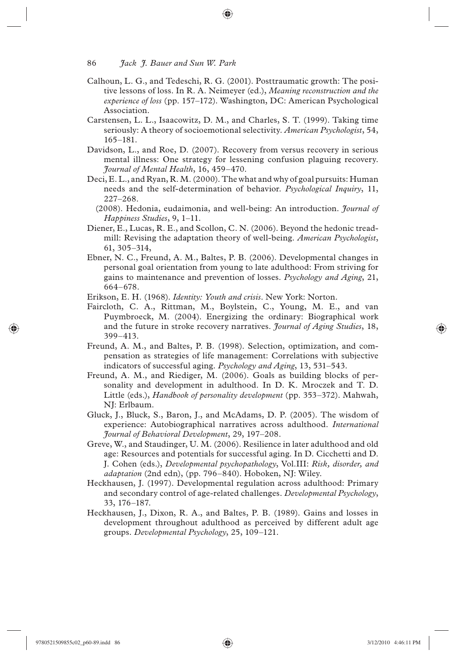- Calhoun, L. G., and Tedeschi, R. G. (2001). Posttraumatic growth: The positive lessons of loss. In R. A. Neimeyer(ed.), *Meaning reconstruction and the*  experience of loss (pp. 157-172). Washington, DC: American Psychological Association.
- Carstensen, L. L., Isaacowitz, D. M., and Charles, S. T. (1999). Taking time seriously: A theory of socioemotional selectivity . *American Psychologist*, 54 ,  $165 - 181.$
- Davidson, L., and Roe, D. (2007). Recovery from versus recovery in serious mental illness: One strategy for lessening confusion plaguing recovery . *Journal of Mental Health*, 16, 459-470.
- Deci, E. L., and Ryan, R. M. (2000). The what and why of goal pursuits: Human needs and the self-determination of behavior. *Psychological Inquiry*, 11, 227 –268.
	- ( 2008 ). Hedonia, eudaimonia, and well-being: An introduction . *Journal of Happiness Studies*, 9, 1–11.
- Diener, E., Lucas, R. E., and Scollon, C. N. (2006). Beyond the hedonic treadmill: Revising the adaptation theory of well-being . *American Psychologist*, 61, 305 – 314,
- Ebner, N. C., Freund, A. M., Baltes, P. B. (2006). Developmental changes in personal goal orientation from young to late adulthood: From striving for gains to maintenance and prevention of losses. *Psychology and Aging*, 21, 664 –678.
- Erikson, E. H. (1968). *Identity: Youth and crisis*. New York: Norton.
- Faircloth, C. A., Rittman, M., Boylstein, C., Young, M. E., and van Puymbroeck, M. (2004). Energizing the ordinary: Biographical work and the future in stroke recovery narratives . *Journal of Aging Studies*, 18 , 399 –413.
- Freund, A. M., and Baltes, P. B. (1998). Selection, optimization, and compensation as strategies of life management: Correlations with subjective indicators of successful aging. *Psychology and Aging*, 13, 531–543.
- Freund, A. M., and Riediger, M. (2006). Goals as building blocks of personality and development in adulthood. In D. K. Mroczek and T. D. Little (eds.), *Handbook of personality development* (pp. 353-372). Mahwah, NJ: Erlbaum.
- Gluck, J., Bluck, S., Baron, J., and McAdams, D. P. (2005). The wisdom of experience: Autobiographical narratives across adulthood. International *Journal of Behavioral Development*, 29 , 197 –208.
- Greve, W., and Staudinger, U. M. (2006). Resilience in later adulthood and old age: Resources and potentials for successful aging. In D. Cicchettiand D. J. Cohen(eds.), *Developmental psychopathology*, Vol.III: *Risk, disorder, and*  adaptation (2nd edn), (pp. 796-840). Hoboken, NJ: Wiley.
- Heckhausen, J. (1997). Developmental regulation across adulthood: Primary and secondary control of age-related challenges . *Developmental Psychology*, 33 , 176 –187.
- Heckhausen, J., Dixon, R. A., and Baltes, P. B. (1989). Gains and losses in development throughout adulthood as perceived by different adult age groups. *Developmental Psychology*, 25, 109-121.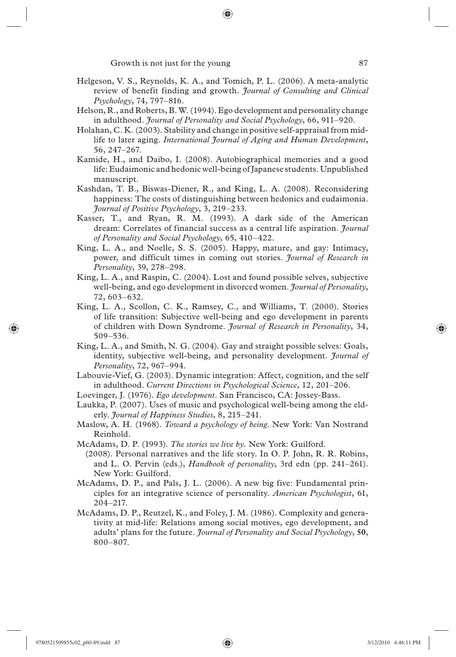- Helgeson, V. S., Reynolds, K. A., and Tomich, P. L. (2006). A meta-analytic review of benefit finding and growth . *Journal of Consulting and Clinical*  Psychology, 74, 797-816.
- Helson, R., and Roberts, B. W. (1994). Ego development and personality change in adulthood. *Journal of Personality and Social Psychology*, 66, 911-920.
- Holahan, C. K. (2003). Stability and change in positive self-appraisal from midlife to later aging. *International Journal of Aging and Human Development*, 56 , 247 –267.
- Kamide, H., and Daibo, I. (2008). Autobiographical memories and a good life: Eudaimonic and hedonic well-being of Japanese students. Unpublished manuscript.
- Kashdan, T. B., Biswas-Diener, R., and King, L. A. (2008). Reconsidering happiness: The costs of distinguishing between hedonics and eudaimonia. *Journal of Positive Psychology*, 3, 219-233.
- Kasser, T., and Ryan, R. M. (1993). A dark side of the American dream: Correlates of financial success as a central life aspiration . *Journal of Personality and Social Psychology*, 65 , 410 –422.
- King, L. A., and Noelle, S. S. (2005). Happy, mature, and gay: Intimacy, power, and difficult times in coming out stories . *Journal of Research in*  Personality, 39, 278-298.
- King, L. A., and Raspin, C. (2004). Lost and found possible selves, subjective well-being, and ego development in divorced women . *Journal of Personality*, 72 , 603 –632.
- King, L. A., Scollon, C. K., Ramsey, C., and Williams, T. (2000). Stories of life transition: Subjective well-being and ego development in parents of children with Down Syndrome . *Journal of Research in Personality*, 34 , 509 –536.
- King, L. A., and Smith, N. G. (2004). Gay and straight possible selves: Goals, identity, subjective well-being, and personality development. *Journal of Personality*, 72, 967–994.
- Labouvie-Vief, G. (2003). Dynamic integration: Affect, cognition, and the self in adulthood. *Current Directions in Psychological Science*, 12, 201-206.
- Loevinger, J. (1976). *Ego development*. San Francisco, CA: Jossey-Bass.
- Laukka, P. (2007). Uses of music and psychological well-being among the elderly. *Journal of Happiness Studies*, 8, 215-241.
- Maslow, A. H. (1968). *Toward a psychology of being*. New York: Van Nostrand Reinhold.
- McAdams, D. P. (1993). *The stories we live by*. New York: Guilford.
- (2008). Personal narratives and the life story. In O. P. John, R. R. Robins, and L. O. Pervin (eds.), *Handbook of personality*, 3rd edn (pp. 241–261). New York: Guilford.
- McAdams, D. P., and Pals, J. L. (2006). A new big five: Fundamental principles for an integrative science of personality. American Psychologist, 61, 204 –217.
- McAdams, D. P., Reutzel, K., and Foley, J. M. (1986). Complexity and generativity at mid-life: Relations among social motives, ego development, and adults' plans for the future . *Journal of Personality and Social Psychology*, **50**, 800 –807.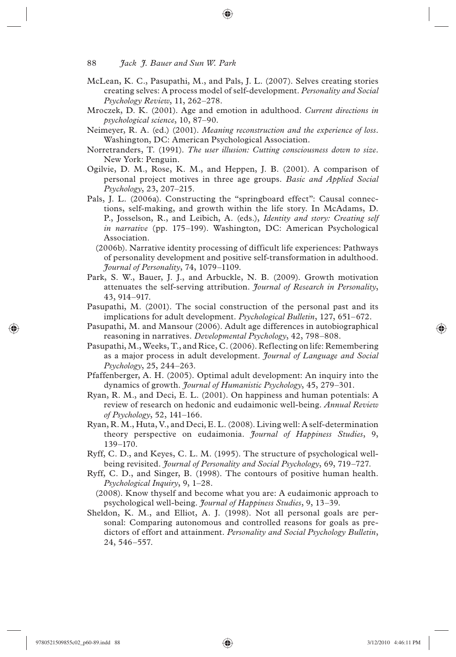- McLean, K. C., Pasupathi, M., and Pals, J. L. (2007). Selves creating stories creating selves: A process model of self-development . *Personality and Social*  Psychology Review, 11, 262-278.
- Mroczek, D. K. (2001). Age and emotion in adulthood. *Current directions in psychological science*, 10, 87–90.
- Neimeyer, R. A. (ed.) (2001). *Meaning reconstruction and the experience of loss*. Washington, DC: American Psychological Association.
- Norretranders, T. (1991). *The user illusion: Cutting consciousness down to size*. New York: Penguin.
- Ogilvie, D. M., Rose, K. M., and Heppen, J. B. (2001). A comparison of personal project motives in three age groups . *Basic and Applied Social Psychology*, 23 , 207 –215.
- Pals, J. L. (2006a). Constructing the "springboard effect": Causal connections, self-making, and growth within the life story. In McAdams, D. P., Josselson, R., and Leibich, A. (eds.), *Identity and story: Creating self* in narrative (pp. 175-199). Washington, DC: American Psychological Association.
	- (2006b). Narrative identity processing of difficult life experiences: Pathways of personality development and positive self-transformation in adulthood . *Journal of Personality*, 74 , 1079 –1109.
- Park, S. W., Bauer, J. J., and Arbuckle, N. B. (2009). Growth motivation attenuates the self-serving attribution . *Journal of Research in Personality*, 43 , 914 –917.
- Pasupathi, M. (2001). The social construction of the personal past and its implications for adult development. *Psychological Bulletin*, 127, 651–672.
- Pasupathi, M. and Mansour (2006). Adult age differences in autobiographical reasoning in narratives. *Developmental Psychology*, 42, 798-808.
- Pasupathi, M., Weeks, T., and Rice, C. (2006). Reflecting on life: Remembering as a major process in adult development. *Journal of Language and Social Psychology*, 25 , 244 –263.
- Pfaffenberger, A. H. (2005). Optimal adult development: An inquiry into the dynamics of growth. *Journal of Humanistic Psychology*, 45, 279-301.
- Ryan, R. M., and Deci, E. L. (2001). On happiness and human potentials: A review of research on hedonic and eudaimonic well-being . *Annual Review of Psychology*, 52 , 141 –166.
- Ryan, R. M., Huta, V., and Deci, E. L. (2008). Living well: A self-determination theory perspective on eudaimonia. *Journal of Happiness Studies*, 9, 139 –170.
- Ryff, C. D., and Keyes, C. L. M. (1995). The structure of psychological wellbeing revisited . *Journal of Personality and Social Psychology*, 69 , 719 –727.
- Ryff, C. D., and Singer, B. (1998). The contours of positive human health. *Psychological Inquiry*, 9, 1–28.
	- (2008). Know thyself and become what you are: A eudaimonic approach to psychological well-being. *Journal of Happiness Studies*, 9, 13–39.
- Sheldon, K. M., and Elliot, A. J. (1998). Not all personal goals are personal: Comparing autonomous and controlled reasons for goals as predictors of effort and attainment. Personality and Social Psychology Bulletin, 24, 546-557.